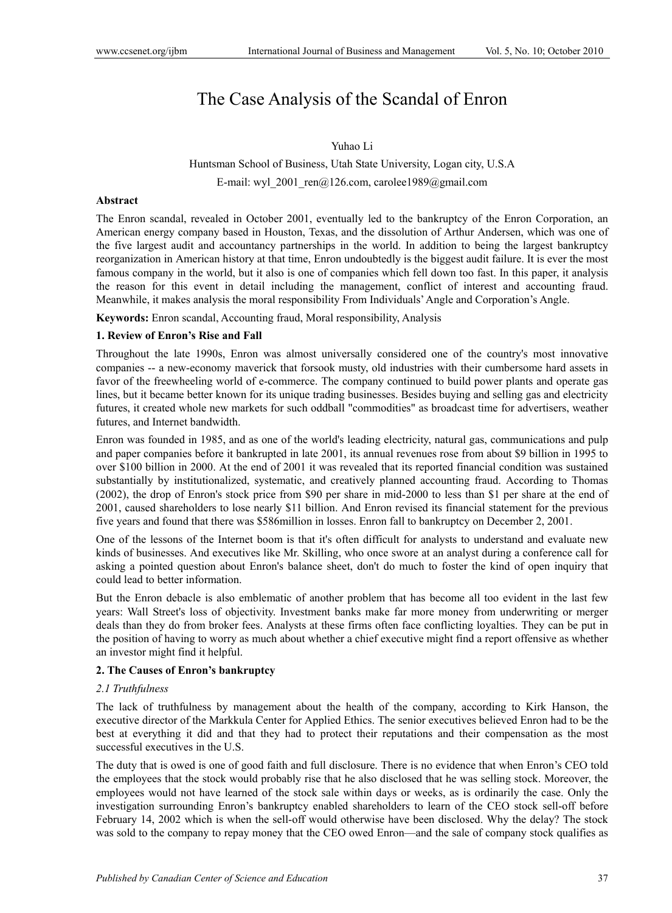# The Case Analysis of the Scandal of Enron

Yuhao Li

Huntsman School of Business, Utah State University, Logan city, U.S.A E-mail: wyl\_2001\_ren@126.com, carolee1989@gmail.com

#### **Abstract**

The Enron scandal, revealed in October 2001, eventually led to the bankruptcy of the Enron Corporation, an American energy company based in Houston, Texas, and the dissolution of Arthur Andersen, which was one of the five largest audit and accountancy partnerships in the world. In addition to being the largest bankruptcy reorganization in American history at that time, Enron undoubtedly is the biggest audit failure. It is ever the most famous company in the world, but it also is one of companies which fell down too fast. In this paper, it analysis the reason for this event in detail including the management, conflict of interest and accounting fraud. Meanwhile, it makes analysis the moral responsibility From Individuals' Angle and Corporation's Angle.

**Keywords:** Enron scandal, Accounting fraud, Moral responsibility, Analysis

#### **1. Review of Enron's Rise and Fall**

Throughout the late 1990s, Enron was almost universally considered one of the country's most innovative companies -- a new-economy maverick that forsook musty, old industries with their cumbersome hard assets in favor of the freewheeling world of e-commerce. The company continued to build power plants and operate gas lines, but it became better known for its unique trading businesses. Besides buying and selling gas and electricity futures, it created whole new markets for such oddball "commodities" as broadcast time for advertisers, weather futures, and Internet bandwidth.

Enron was founded in 1985, and as one of the world's leading electricity, natural gas, communications and pulp and paper companies before it bankrupted in late 2001, its annual revenues rose from about \$9 billion in 1995 to over \$100 billion in 2000. At the end of 2001 it was revealed that its reported financial condition was sustained substantially by institutionalized, systematic, and creatively planned accounting fraud. According to Thomas (2002), the drop of Enron's stock price from \$90 per share in mid-2000 to less than \$1 per share at the end of 2001, caused shareholders to lose nearly \$11 billion. And Enron revised its financial statement for the previous five years and found that there was \$586million in losses. Enron fall to bankruptcy on December 2, 2001.

One of the lessons of the Internet boom is that it's often difficult for analysts to understand and evaluate new kinds of businesses. And executives like Mr. Skilling, who once swore at an analyst during a conference call for asking a pointed question about Enron's balance sheet, don't do much to foster the kind of open inquiry that could lead to better information.

But the Enron debacle is also emblematic of another problem that has become all too evident in the last few years: Wall Street's loss of objectivity. Investment banks make far more money from underwriting or merger deals than they do from broker fees. Analysts at these firms often face conflicting loyalties. They can be put in the position of having to worry as much about whether a chief executive might find a report offensive as whether an investor might find it helpful.

#### **2. The Causes of Enron's bankruptcy**

#### *2.1 Truthfulness*

The lack of truthfulness by management about the health of the company, according to Kirk Hanson, the executive director of the Markkula Center for Applied Ethics. The senior executives believed Enron had to be the best at everything it did and that they had to protect their reputations and their compensation as the most successful executives in the U.S.

The duty that is owed is one of good faith and full disclosure. There is no evidence that when Enron's CEO told the employees that the stock would probably rise that he also disclosed that he was selling stock. Moreover, the employees would not have learned of the stock sale within days or weeks, as is ordinarily the case. Only the investigation surrounding Enron's bankruptcy enabled shareholders to learn of the CEO stock sell-off before February 14, 2002 which is when the sell-off would otherwise have been disclosed. Why the delay? The stock was sold to the company to repay money that the CEO owed Enron—and the sale of company stock qualifies as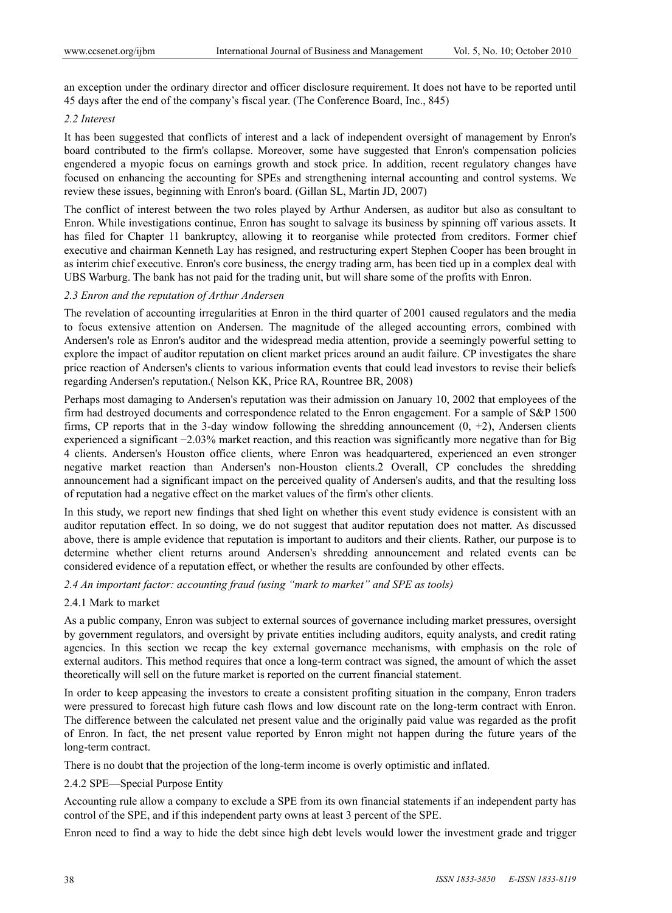an exception under the ordinary director and officer disclosure requirement. It does not have to be reported until 45 days after the end of the company's fiscal year. (The Conference Board, Inc., 845)

## *2.2 Interest*

It has been suggested that conflicts of interest and a lack of independent oversight of management by Enron's board contributed to the firm's collapse. Moreover, some have suggested that Enron's compensation policies engendered a myopic focus on earnings growth and stock price. In addition, recent regulatory changes have focused on enhancing the accounting for SPEs and strengthening internal accounting and control systems. We review these issues, beginning with Enron's board. (Gillan SL, Martin JD, 2007)

The conflict of interest between the two roles played by Arthur Andersen, as auditor but also as consultant to Enron. While investigations continue, Enron has sought to salvage its business by spinning off various assets. It has filed for Chapter 11 bankruptcy, allowing it to reorganise while protected from creditors. Former chief executive and chairman Kenneth Lay has resigned, and restructuring expert Stephen Cooper has been brought in as interim chief executive. Enron's core business, the energy trading arm, has been tied up in a complex deal with UBS Warburg. The bank has not paid for the trading unit, but will share some of the profits with Enron.

#### *2.3 Enron and the reputation of Arthur Andersen*

The revelation of accounting irregularities at Enron in the third quarter of 2001 caused regulators and the media to focus extensive attention on Andersen. The magnitude of the alleged accounting errors, combined with Andersen's role as Enron's auditor and the widespread media attention, provide a seemingly powerful setting to explore the impact of auditor reputation on client market prices around an audit failure. CP investigates the share price reaction of Andersen's clients to various information events that could lead investors to revise their beliefs regarding Andersen's reputation.( Nelson KK, Price RA, Rountree BR, 2008)

Perhaps most damaging to Andersen's reputation was their admission on January 10, 2002 that employees of the firm had destroyed documents and correspondence related to the Enron engagement. For a sample of S&P 1500 firms, CP reports that in the 3-day window following the shredding announcement  $(0, +2)$ , Andersen clients experienced a significant −2.03% market reaction, and this reaction was significantly more negative than for Big 4 clients. Andersen's Houston office clients, where Enron was headquartered, experienced an even stronger negative market reaction than Andersen's non-Houston clients.2 Overall, CP concludes the shredding announcement had a significant impact on the perceived quality of Andersen's audits, and that the resulting loss of reputation had a negative effect on the market values of the firm's other clients.

In this study, we report new findings that shed light on whether this event study evidence is consistent with an auditor reputation effect. In so doing, we do not suggest that auditor reputation does not matter. As discussed above, there is ample evidence that reputation is important to auditors and their clients. Rather, our purpose is to determine whether client returns around Andersen's shredding announcement and related events can be considered evidence of a reputation effect, or whether the results are confounded by other effects.

*2.4 An important factor: accounting fraud (using "mark to market" and SPE as tools)* 

## 2.4.1 Mark to market

As a public company, Enron was subject to external sources of governance including market pressures, oversight by government regulators, and oversight by private entities including auditors, equity analysts, and credit rating agencies. In this section we recap the key external governance mechanisms, with emphasis on the role of external auditors. This method requires that once a long-term contract was signed, the amount of which the asset theoretically will sell on the future market is reported on the current financial statement.

In order to keep appeasing the investors to create a consistent profiting situation in the company, Enron traders were pressured to forecast high future cash flows and low discount rate on the long-term contract with Enron. The difference between the calculated net present value and the originally paid value was regarded as the profit of Enron. In fact, the net present value reported by Enron might not happen during the future years of the long-term contract.

There is no doubt that the projection of the long-term income is overly optimistic and inflated.

## 2.4.2 SPE—Special Purpose Entity

Accounting rule allow a company to exclude a SPE from its own financial statements if an independent party has control of the SPE, and if this independent party owns at least 3 percent of the SPE.

Enron need to find a way to hide the debt since high debt levels would lower the investment grade and trigger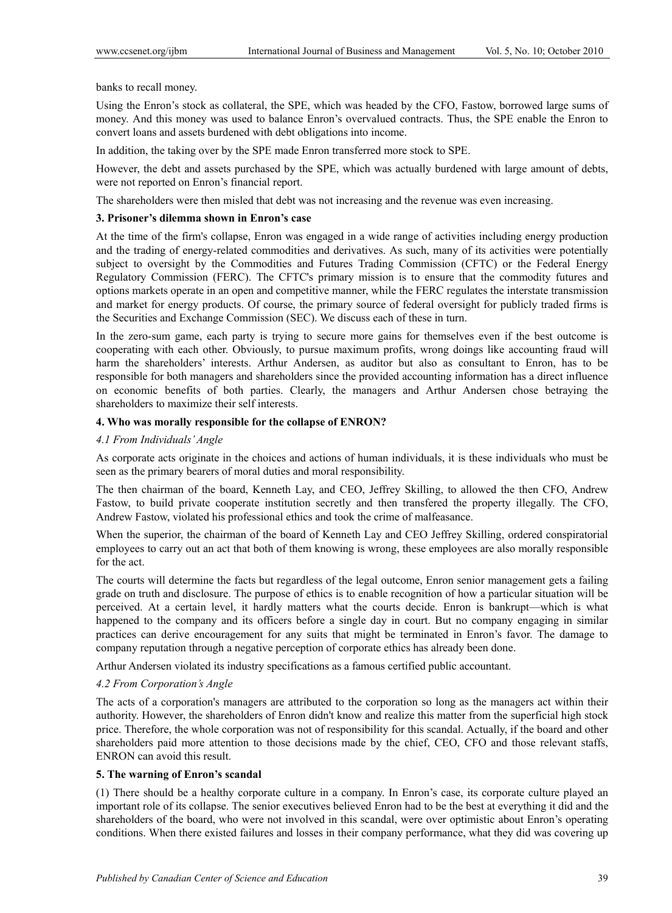banks to recall money.

Using the Enron's stock as collateral, the SPE, which was headed by the CFO, Fastow, borrowed large sums of money. And this money was used to balance Enron's overvalued contracts. Thus, the SPE enable the Enron to convert loans and assets burdened with debt obligations into income.

In addition, the taking over by the SPE made Enron transferred more stock to SPE.

However, the debt and assets purchased by the SPE, which was actually burdened with large amount of debts, were not reported on Enron's financial report.

The shareholders were then misled that debt was not increasing and the revenue was even increasing.

## **3. Prisoner's dilemma shown in Enron's case**

At the time of the firm's collapse, Enron was engaged in a wide range of activities including energy production and the trading of energy-related commodities and derivatives. As such, many of its activities were potentially subject to oversight by the Commodities and Futures Trading Commission (CFTC) or the Federal Energy Regulatory Commission (FERC). The CFTC's primary mission is to ensure that the commodity futures and options markets operate in an open and competitive manner, while the FERC regulates the interstate transmission and market for energy products. Of course, the primary source of federal oversight for publicly traded firms is the Securities and Exchange Commission (SEC). We discuss each of these in turn.

In the zero-sum game, each party is trying to secure more gains for themselves even if the best outcome is cooperating with each other. Obviously, to pursue maximum profits, wrong doings like accounting fraud will harm the shareholders' interests. Arthur Andersen, as auditor but also as consultant to Enron, has to be responsible for both managers and shareholders since the provided accounting information has a direct influence on economic benefits of both parties. Clearly, the managers and Arthur Andersen chose betraying the shareholders to maximize their self interests.

## **4. Who was morally responsible for the collapse of ENRON?**

## *4.1 From Individuals' Angle*

As corporate acts originate in the choices and actions of human individuals, it is these individuals who must be seen as the primary bearers of moral duties and moral responsibility.

The then chairman of the board, Kenneth Lay, and CEO, Jeffrey Skilling, to allowed the then CFO, Andrew Fastow, to build private cooperate institution secretly and then transfered the property illegally. The CFO, Andrew Fastow, violated his professional ethics and took the crime of malfeasance.

When the superior, the chairman of the board of Kenneth Lay and CEO Jeffrey Skilling, ordered conspiratorial employees to carry out an act that both of them knowing is wrong, these employees are also morally responsible for the act.

The courts will determine the facts but regardless of the legal outcome, Enron senior management gets a failing grade on truth and disclosure. The purpose of ethics is to enable recognition of how a particular situation will be perceived. At a certain level, it hardly matters what the courts decide. Enron is bankrupt—which is what happened to the company and its officers before a single day in court. But no company engaging in similar practices can derive encouragement for any suits that might be terminated in Enron's favor. The damage to company reputation through a negative perception of corporate ethics has already been done.

Arthur Andersen violated its industry specifications as a famous certified public accountant.

# *4.2 From Corporation's Angle*

The acts of a corporation's managers are attributed to the corporation so long as the managers act within their authority. However, the shareholders of Enron didn't know and realize this matter from the superficial high stock price. Therefore, the whole corporation was not of responsibility for this scandal. Actually, if the board and other shareholders paid more attention to those decisions made by the chief, CEO, CFO and those relevant staffs, ENRON can avoid this result.

# **5. The warning of Enron's scandal**

(1) There should be a healthy corporate culture in a company. In Enron's case, its corporate culture played an important role of its collapse. The senior executives believed Enron had to be the best at everything it did and the shareholders of the board, who were not involved in this scandal, were over optimistic about Enron's operating conditions. When there existed failures and losses in their company performance, what they did was covering up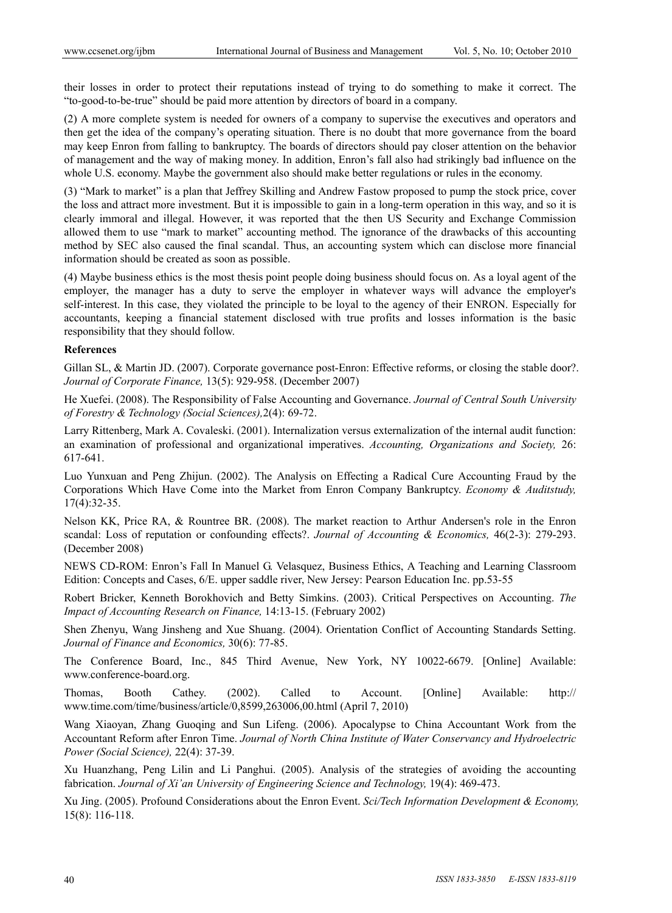their losses in order to protect their reputations instead of trying to do something to make it correct. The "to-good-to-be-true" should be paid more attention by directors of board in a company.

(2) A more complete system is needed for owners of a company to supervise the executives and operators and then get the idea of the company's operating situation. There is no doubt that more governance from the board may keep Enron from falling to bankruptcy. The boards of directors should pay closer attention on the behavior of management and the way of making money. In addition, Enron's fall also had strikingly bad influence on the whole U.S. economy. Maybe the government also should make better regulations or rules in the economy.

(3) "Mark to market" is a plan that Jeffrey Skilling and Andrew Fastow proposed to pump the stock price, cover the loss and attract more investment. But it is impossible to gain in a long-term operation in this way, and so it is clearly immoral and illegal. However, it was reported that the then US Security and Exchange Commission allowed them to use "mark to market" accounting method. The ignorance of the drawbacks of this accounting method by SEC also caused the final scandal. Thus, an accounting system which can disclose more financial information should be created as soon as possible.

(4) Maybe business ethics is the most thesis point people doing business should focus on. As a loyal agent of the employer, the manager has a duty to serve the employer in whatever ways will advance the employer's self-interest. In this case, they violated the principle to be loyal to the agency of their ENRON. Especially for accountants, keeping a financial statement disclosed with true profits and losses information is the basic responsibility that they should follow.

## **References**

Gillan SL, & Martin JD. (2007). Corporate governance post-Enron: Effective reforms, or closing the stable door?. *Journal of Corporate Finance,* 13(5): 929-958. (December 2007)

He Xuefei. (2008). The Responsibility of False Accounting and Governance. *Journal of Central South University of Forestry & Technology (Social Sciences),*2(4): 69-72.

Larry Rittenberg, Mark A. Covaleski. (2001). Internalization versus externalization of the internal audit function: an examination of professional and organizational imperatives. *Accounting, Organizations and Society,* 26: 617-641.

Luo Yunxuan and Peng Zhijun. (2002). The Analysis on Effecting a Radical Cure Accounting Fraud by the Corporations Which Have Come into the Market from Enron Company Bankruptcy. *Economy & Auditstudy,*  17(4):32-35.

Nelson KK, Price RA, & Rountree BR. (2008). The market reaction to Arthur Andersen's role in the Enron scandal: Loss of reputation or confounding effects?. *Journal of Accounting & Economics,* 46(2-3): 279-293. (December 2008)

NEWS CD-ROM: Enron's Fall In Manuel G. Velasquez, Business Ethics, A Teaching and Learning Classroom Edition: Concepts and Cases, 6/E. upper saddle river, New Jersey: Pearson Education Inc. pp.53-55

Robert Bricker, Kenneth Borokhovich and Betty Simkins. (2003). Critical Perspectives on Accounting. *The Impact of Accounting Research on Finance,* 14:13-15. (February 2002)

Shen Zhenyu, Wang Jinsheng and Xue Shuang. (2004). Orientation Conflict of Accounting Standards Setting. *Journal of Finance and Economics,* 30(6): 77-85.

The Conference Board, Inc., 845 Third Avenue, New York, NY 10022-6679. [Online] Available: www.conference-board.org.

Thomas, Booth Cathey. (2002). Called to Account. [Online] Available: http:// www.time.com/time/business/article/0,8599,263006,00.html (April 7, 2010)

Wang Xiaoyan, Zhang Guoqing and Sun Lifeng. (2006). Apocalypse to China Accountant Work from the Accountant Reform after Enron Time. *Journal of North China Institute of Water Conservancy and Hydroelectric Power (Social Science),* 22(4): 37-39.

Xu Huanzhang, Peng Lilin and Li Panghui. (2005). Analysis of the strategies of avoiding the accounting fabrication. *Journal of Xi'an University of Engineering Science and Technology,* 19(4): 469-473.

Xu Jing. (2005). Profound Considerations about the Enron Event. *Sci/Tech Information Development & Economy,*  15(8): 116-118.